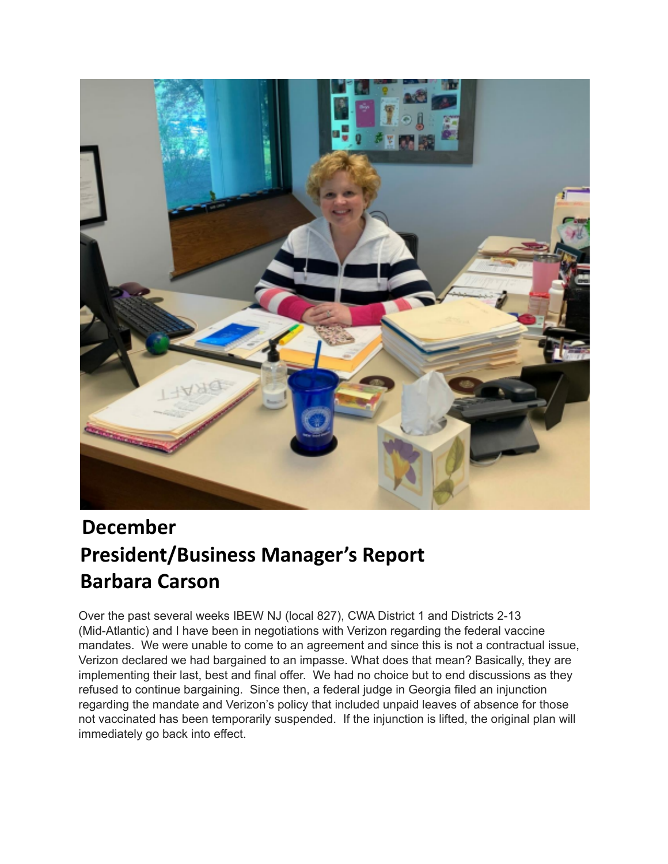

## **December President/Business Manager's Report Barbara Carson**

Over the past several weeks IBEW NJ (local 827), CWA District 1 and Districts 2-13 (Mid-Atlantic) and I have been in negotiations with Verizon regarding the federal vaccine mandates. We were unable to come to an agreement and since this is not a contractual issue, Verizon declared we had bargained to an impasse. What does that mean? Basically, they are implementing their last, best and final offer. We had no choice but to end discussions as they refused to continue bargaining. Since then, a federal judge in Georgia filed an injunction regarding the mandate and Verizon's policy that included unpaid leaves of absence for those not vaccinated has been temporarily suspended. If the injunction is lifted, the original plan will immediately go back into effect.